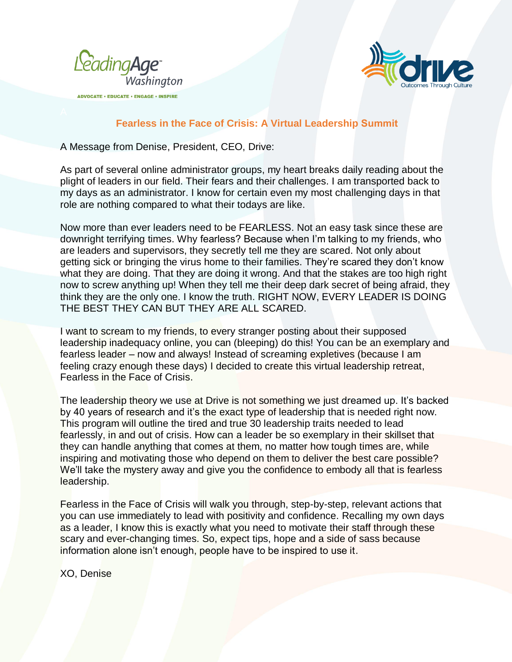

**ADVOCATE · EDUCATE · ENGAGE · INSPIRE** 



## **Fearless in the Face of Crisis: A Virtual Leadership Summit**

A Message from Denise, President, CEO, Drive:

As part of several online administrator groups, my heart breaks daily reading about the plight of leaders in our field. Their fears and their challenges. I am transported back to my days as an administrator. I know for certain even my most challenging days in that role are nothing compared to what their todays are like.

Now more than ever leaders need to be FEARLESS. Not an easy task since these are downright terrifying times. Why fearless? Because when I'm talking to my friends, who are leaders and supervisors, they secretly tell me they are scared. Not only about getting sick or bringing the virus home to their families. They're scared they don't know what they are doing. That they are doing it wrong. And that the stakes are too high right now to screw anything up! When they tell me their deep dark secret of being afraid, they think they are the only one. I know the truth. RIGHT NOW, EVERY LEADER IS DOING THE BEST THEY CAN BUT THEY ARE ALL SCARED.

I want to scream to my friends, to every stranger posting about their supposed leadership inadequacy online, you can (bleeping) do this! You can be an exemplary and fearless leader – now and always! Instead of screaming expletives (because I am feeling crazy enough these days) I decided to create this virtual leadership retreat, Fearless in the Face of Crisis.

The leadership theory we use at Drive is not something we just dreamed up. It's backed by 40 years of research and it's the exact type of leadership that is needed right now. This program will outline the tired and true 30 leadership traits needed to lead fearlessly, in and out of crisis. How can a leader be so exemplary in their skillset that they can handle anything that comes at them, no matter how tough times are, while inspiring and motivating those who depend on them to deliver the best care possible? We'll take the mystery away and give you the confidence to embody all that is fearless leadership.

Fearless in the Face of Crisis will walk you through, step-by-step, relevant actions that you can use immediately to lead with positivity and confidence. Recalling my own days as a leader, I know this is exactly what you need to motivate their staff through these scary and ever-changing times. So, expect tips, hope and a side of sass because information alone isn't enough, people have to be inspired to use it.

XO, Denise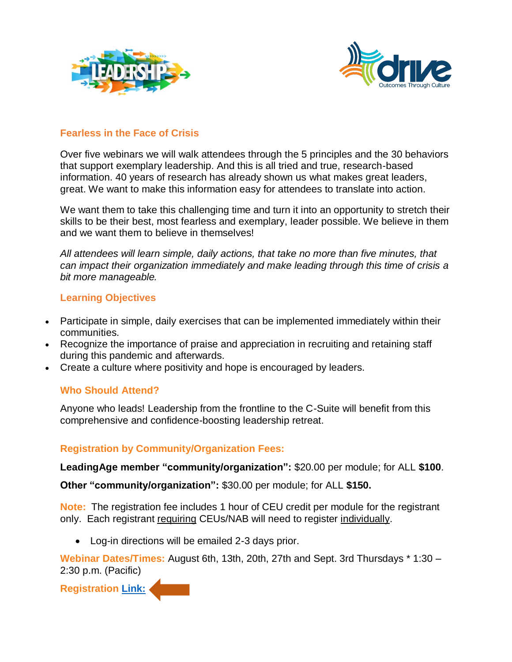



## **Fearless in the Face of Crisis**

Over five webinars we will walk attendees through the 5 principles and the 30 behaviors that support exemplary leadership. And this is all tried and true, research-based information. 40 years of research has already shown us what makes great leaders, great. We want to make this information easy for attendees to translate into action.

We want them to take this challenging time and turn it into an opportunity to stretch their skills to be their best, most fearless and exemplary, leader possible. We believe in them and we want them to believe in themselves!

*All attendees will learn simple, daily actions, that take no more than five minutes, that can impact their organization immediately and make leading through this time of crisis a bit more manageable.*

## **Learning Objectives**

- Participate in simple, daily exercises that can be implemented immediately within their communities.
- Recognize the importance of praise and appreciation in recruiting and retaining staff during this pandemic and afterwards.
- Create a culture where positivity and hope is encouraged by leaders.

## **Who Should Attend?**

Anyone who leads! Leadership from the frontline to the C-Suite will benefit from this comprehensive and confidence-boosting leadership retreat.

## **Registration by Community/Organization Fees:**

**LeadingAge member "community/organization":** \$20.00 per module; for ALL **\$100**.

**Other "community/organization":** \$30.00 per module; for ALL **\$150.**

**Note:** The registration fee includes 1 hour of CEU credit per module for the registrant only. Each registrant requiring CEUs/NAB will need to register individually.

Log-in directions will be emailed 2-3 days prior.

**Webinar Dates/Times:** August 6th, 13th, 20th, 27th and Sept. 3rd Thursdays \* 1:30 – 2:30 p.m. (Pacific)

**Registration [Link:](https://netforum.avectra.com/eweb/Shopping/Shopping.aspx?Site=leadingagewa&%20WebCode=Shopping&cart=0)**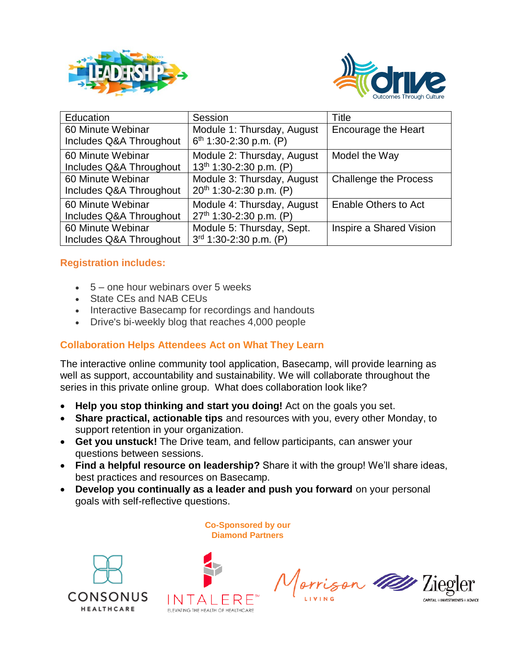



| Education                                    | Session                                                | Title                        |
|----------------------------------------------|--------------------------------------------------------|------------------------------|
| 60 Minute Webinar<br>Includes Q&A Throughout | Module 1: Thursday, August<br>$6th$ 1:30-2:30 p.m. (P) | <b>Encourage the Heart</b>   |
| 60 Minute Webinar<br>Includes Q&A Throughout | Module 2: Thursday, August<br>13th 1:30-2:30 p.m. (P)  | Model the Way                |
| 60 Minute Webinar<br>Includes Q&A Throughout | Module 3: Thursday, August<br>20th 1:30-2:30 p.m. (P)  | <b>Challenge the Process</b> |
| 60 Minute Webinar<br>Includes Q&A Throughout | Module 4: Thursday, August<br>27th 1:30-2:30 p.m. (P)  | Enable Others to Act         |
| 60 Minute Webinar<br>Includes Q&A Throughout | Module 5: Thursday, Sept.<br>3rd 1:30-2:30 p.m. (P)    | Inspire a Shared Vision      |

# **Registration includes:**

- $5 -$  one hour webinars over 5 weeks
- State CEs and NAB CEUs
- Interactive Basecamp for recordings and handouts
- Drive's bi-weekly blog that reaches 4,000 people

# **Collaboration Helps Attendees Act on What They Learn**

The interactive online community tool application, Basecamp, will provide learning as well as support, accountability and sustainability. We will collaborate throughout the series in this private online group. What does collaboration look like?

- **Help you stop thinking and start you doing!** Act on the goals you set.
- **Share practical, actionable tips** and resources with you, every other Monday, to support retention in your organization.
- **Get you unstuck!** The Drive team, and fellow participants, can answer your questions between sessions.
- **Find a helpful resource on leadership?** Share it with the group! We'll share ideas, best practices and resources on Basecamp.
- **Develop you continually as a leader and push you forward** on your personal goals with self-reflective questions.







Jorrison 119 Tieg